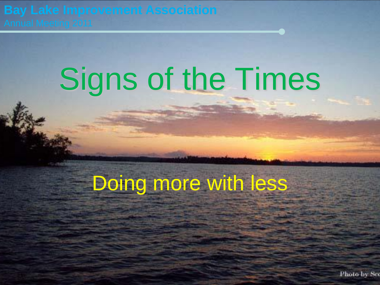## Signs of the Times

#### Doing more with less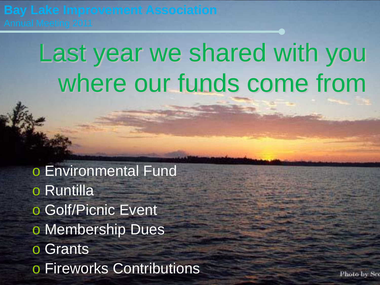### Last year we shared with you where our funds come from

o Environmental Fund o Runtilla o Golf/Picnic Event o Membership Dues o Grants o Fireworks Contributions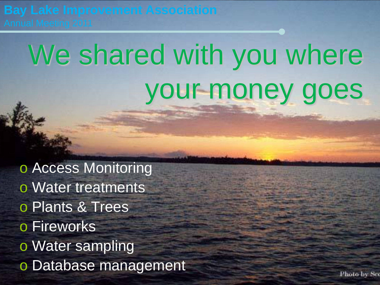## We shared with you where your money goes

o Access Monitoring o Water treatments o Plants & Trees o Fireworks o Water sampling o Database management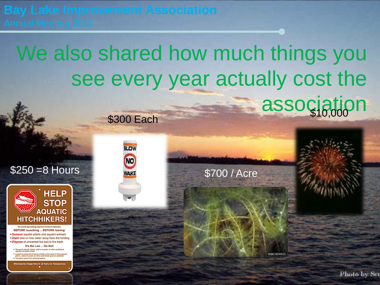**\$300 Each** 

**SLOW** 

**NO** 

**WAKE** 

#### We also shared how much things you see every year actually cost the association

\$700 / Acre





To avoid spreading aquatic invasive species **BEFORE launching ... BEFORE leaving:** · Remove aquatic plants and aquatic animals . Drain lake or river water away from the landing · Dispose of unwanted live bait in the trash

It's the Law ... Do Not:

· Transport aquatic plants, zebra mussels, or other prohibited<br>species on public roads

Launch a watercraft or place a trailer in the water if it has aquatic<br>plants, zebra mussels, or other prohibited species attached · Transport water from infested waters

**Minnesota Department of Natural Resources**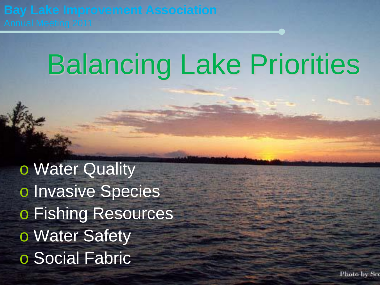## Balancing Lake Priorities

o Water Quality o Invasive Species o Fishing Resources o Water Safety o Social Fabric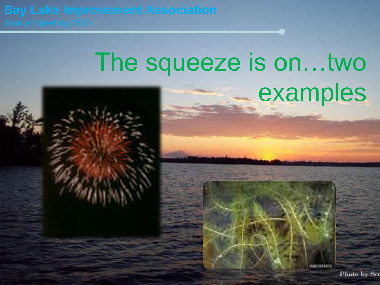### The squeeze is on…two examples



0041184451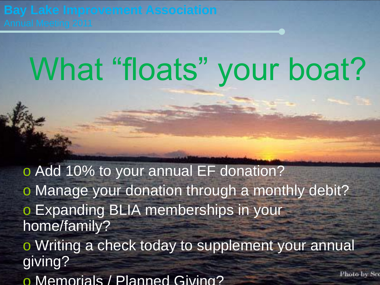# What "floats" your boat?

o Add 10% to your annual EF donation? o Manage your donation through a monthly debit? o Expanding BLIA memberships in your home/family? o Writing a check today to supplement your annual giving? Photo by Sec o Memorials / Planned Giving?